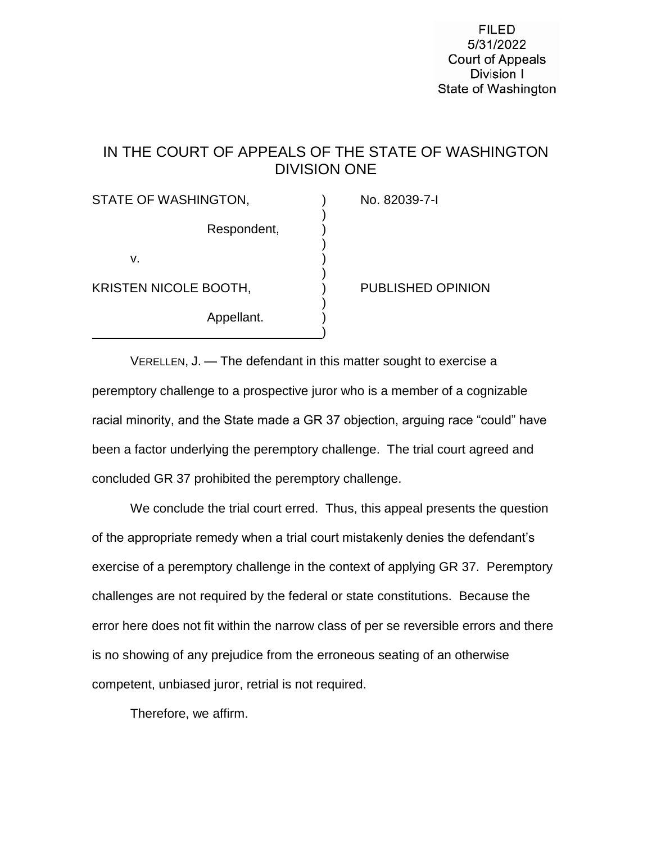**FILED** 5/31/2022 **Court of Appeals** Division I State of Washington

## IN THE COURT OF APPEALS OF THE STATE OF WASHINGTON DIVISION ONE

)

)

)

)

)

STATE OF WASHINGTON, The CONSTRUCT OF WASHINGTON,

Respondent, )

v.  $\qquad \qquad$ 

KRISTEN NICOLE BOOTH, ) PUBLISHED OPINION

Appellant.

VERELLEN, J. — The defendant in this matter sought to exercise a peremptory challenge to a prospective juror who is a member of a cognizable racial minority, and the State made a GR 37 objection, arguing race "could" have been a factor underlying the peremptory challenge. The trial court agreed and concluded GR 37 prohibited the peremptory challenge.

We conclude the trial court erred. Thus, this appeal presents the question of the appropriate remedy when a trial court mistakenly denies the defendant's exercise of a peremptory challenge in the context of applying GR 37. Peremptory challenges are not required by the federal or state constitutions. Because the error here does not fit within the narrow class of per se reversible errors and there is no showing of any prejudice from the erroneous seating of an otherwise competent, unbiased juror, retrial is not required.

Therefore, we affirm.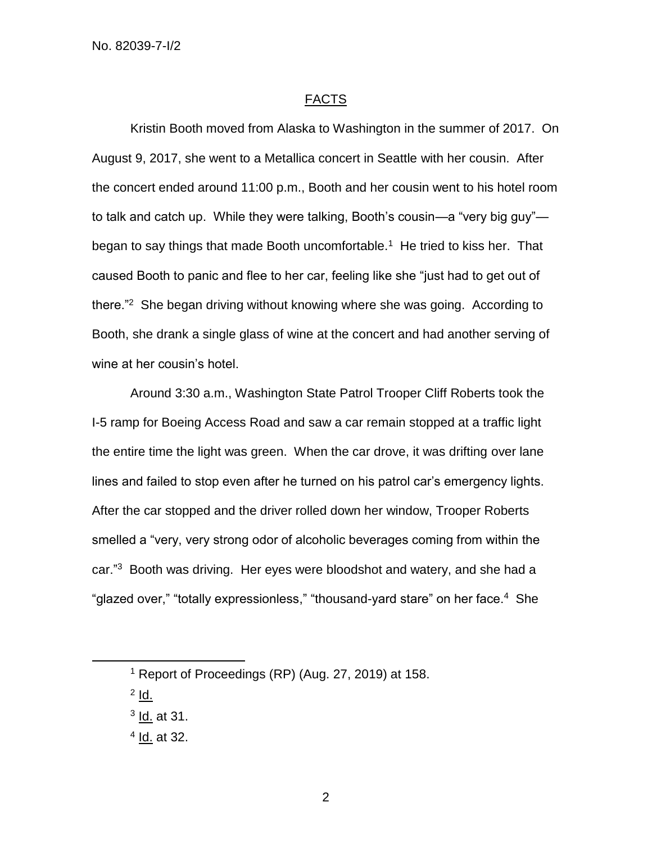## FACTS

Kristin Booth moved from Alaska to Washington in the summer of 2017. On August 9, 2017, she went to a Metallica concert in Seattle with her cousin. After the concert ended around 11:00 p.m., Booth and her cousin went to his hotel room to talk and catch up. While they were talking, Booth's cousin—a "very big guy" began to say things that made Booth uncomfortable.<sup>1</sup> He tried to kiss her. That caused Booth to panic and flee to her car, feeling like she "just had to get out of there."<sup>2</sup> She began driving without knowing where she was going. According to Booth, she drank a single glass of wine at the concert and had another serving of wine at her cousin's hotel.

Around 3:30 a.m., Washington State Patrol Trooper Cliff Roberts took the I-5 ramp for Boeing Access Road and saw a car remain stopped at a traffic light the entire time the light was green. When the car drove, it was drifting over lane lines and failed to stop even after he turned on his patrol car's emergency lights. After the car stopped and the driver rolled down her window, Trooper Roberts smelled a "very, very strong odor of alcoholic beverages coming from within the car."<sup>3</sup> Booth was driving. Her eyes were bloodshot and watery, and she had a "glazed over," "totally expressionless," "thousand-yard stare" on her face.<sup>4</sup> She

<sup>2</sup> <u>ld.</u>

l

<sup>1</sup> Report of Proceedings (RP) (Aug. 27, 2019) at 158.

<sup>&</sup>lt;sup>3</sup> <u>Id.</u> at 31.

<sup>&</sup>lt;sup>4</sup> <u>Id.</u> at 32.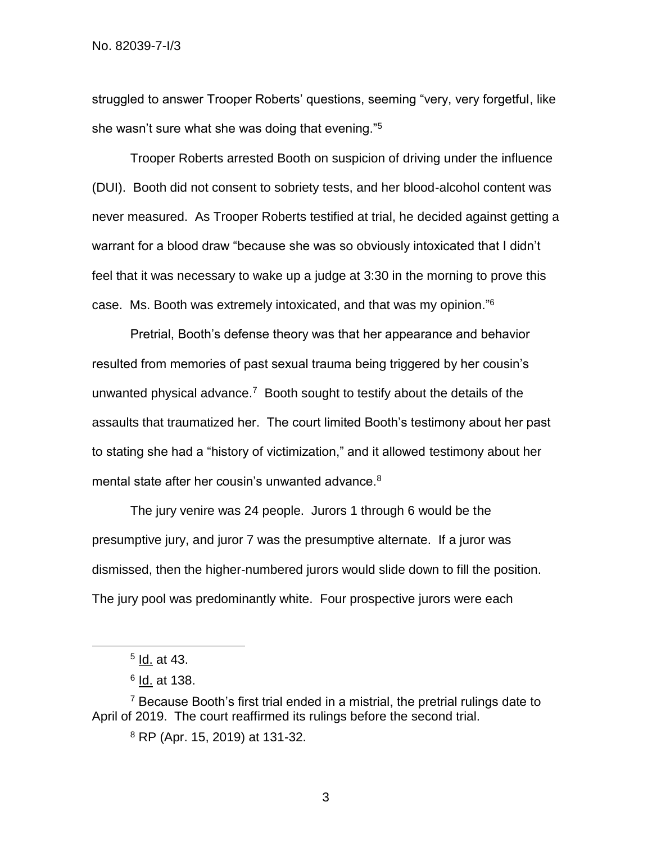struggled to answer Trooper Roberts' questions, seeming "very, very forgetful, like she wasn't sure what she was doing that evening."<sup>5</sup>

Trooper Roberts arrested Booth on suspicion of driving under the influence (DUI). Booth did not consent to sobriety tests, and her blood-alcohol content was never measured. As Trooper Roberts testified at trial, he decided against getting a warrant for a blood draw "because she was so obviously intoxicated that I didn't feel that it was necessary to wake up a judge at 3:30 in the morning to prove this case. Ms. Booth was extremely intoxicated, and that was my opinion."<sup>6</sup>

Pretrial, Booth's defense theory was that her appearance and behavior resulted from memories of past sexual trauma being triggered by her cousin's unwanted physical advance.<sup>7</sup> Booth sought to testify about the details of the assaults that traumatized her. The court limited Booth's testimony about her past to stating she had a "history of victimization," and it allowed testimony about her mental state after her cousin's unwanted advance.<sup>8</sup>

The jury venire was 24 people. Jurors 1 through 6 would be the presumptive jury, and juror 7 was the presumptive alternate. If a juror was dismissed, then the higher-numbered jurors would slide down to fill the position. The jury pool was predominantly white. Four prospective jurors were each

l

<sup>&</sup>lt;sup>5</sup> <u>Id.</u> at 43.

<sup>&</sup>lt;sup>6</sup> <u>Id.</u> at 138.

 $7$  Because Booth's first trial ended in a mistrial, the pretrial rulings date to April of 2019. The court reaffirmed its rulings before the second trial.

<sup>8</sup> RP (Apr. 15, 2019) at 131-32.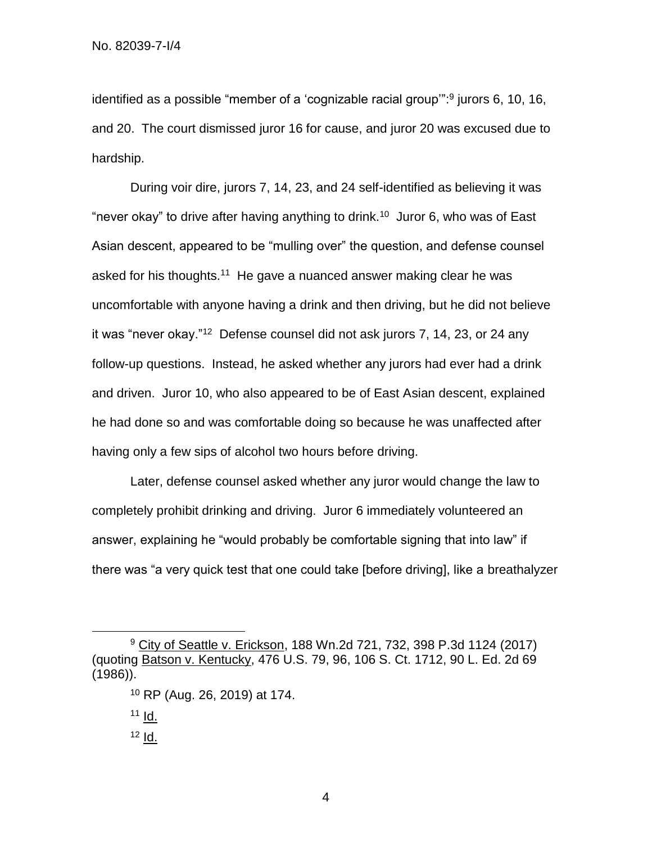identified as a possible "member of a 'cognizable racial group":<sup>9</sup> jurors 6, 10, 16, and 20. The court dismissed juror 16 for cause, and juror 20 was excused due to hardship.

During voir dire, jurors 7, 14, 23, and 24 self-identified as believing it was "never okay" to drive after having anything to drink.<sup>10</sup> Juror 6, who was of East Asian descent, appeared to be "mulling over" the question, and defense counsel asked for his thoughts.<sup>11</sup> He gave a nuanced answer making clear he was uncomfortable with anyone having a drink and then driving, but he did not believe it was "never okay."<sup>12</sup> Defense counsel did not ask jurors 7, 14, 23, or 24 any follow-up questions. Instead, he asked whether any jurors had ever had a drink and driven. Juror 10, who also appeared to be of East Asian descent, explained he had done so and was comfortable doing so because he was unaffected after having only a few sips of alcohol two hours before driving.

Later, defense counsel asked whether any juror would change the law to completely prohibit drinking and driving. Juror 6 immediately volunteered an answer, explaining he "would probably be comfortable signing that into law" if there was "a very quick test that one could take [before driving], like a breathalyzer

l

<sup>&</sup>lt;sup>9</sup> City of Seattle v. Erickson, 188 Wn.2d 721, 732, 398 P.3d 1124 (2017) (quoting Batson v. Kentucky, 476 U.S. 79, 96, 106 S. Ct. 1712, 90 L. Ed. 2d 69 (1986)).

<sup>10</sup> RP (Aug. 26, 2019) at 174.

 $11$   $\underline{d}$ .

 $12$  Id.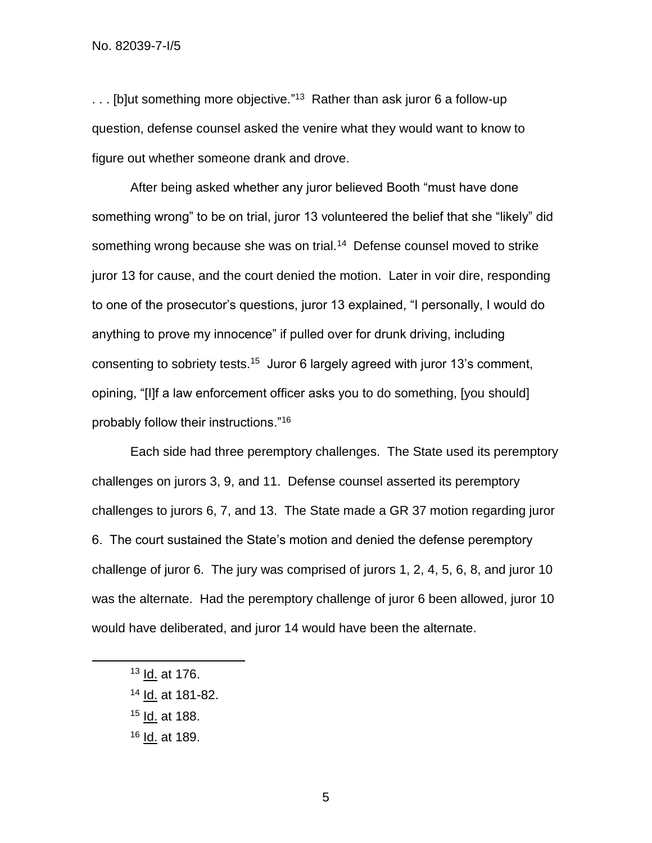... [b]ut something more objective."<sup>13</sup> Rather than ask juror 6 a follow-up question, defense counsel asked the venire what they would want to know to figure out whether someone drank and drove.

After being asked whether any juror believed Booth "must have done something wrong" to be on trial, juror 13 volunteered the belief that she "likely" did something wrong because she was on trial.<sup>14</sup> Defense counsel moved to strike juror 13 for cause, and the court denied the motion. Later in voir dire, responding to one of the prosecutor's questions, juror 13 explained, "I personally, I would do anything to prove my innocence" if pulled over for drunk driving, including consenting to sobriety tests.<sup>15</sup> Juror 6 largely agreed with juror 13's comment, opining, "[I]f a law enforcement officer asks you to do something, [you should] probably follow their instructions."<sup>16</sup>

Each side had three peremptory challenges. The State used its peremptory challenges on jurors 3, 9, and 11. Defense counsel asserted its peremptory challenges to jurors 6, 7, and 13. The State made a GR 37 motion regarding juror 6. The court sustained the State's motion and denied the defense peremptory challenge of juror 6. The jury was comprised of jurors 1, 2, 4, 5, 6, 8, and juror 10 was the alternate. Had the peremptory challenge of juror 6 been allowed, juror 10 would have deliberated, and juror 14 would have been the alternate.

<sup>13</sup> Id. at 176.

- <sup>14</sup> Id. at 181-82.
- <sup>15</sup> Id. at 188.
- <sup>16</sup> Id. at 189.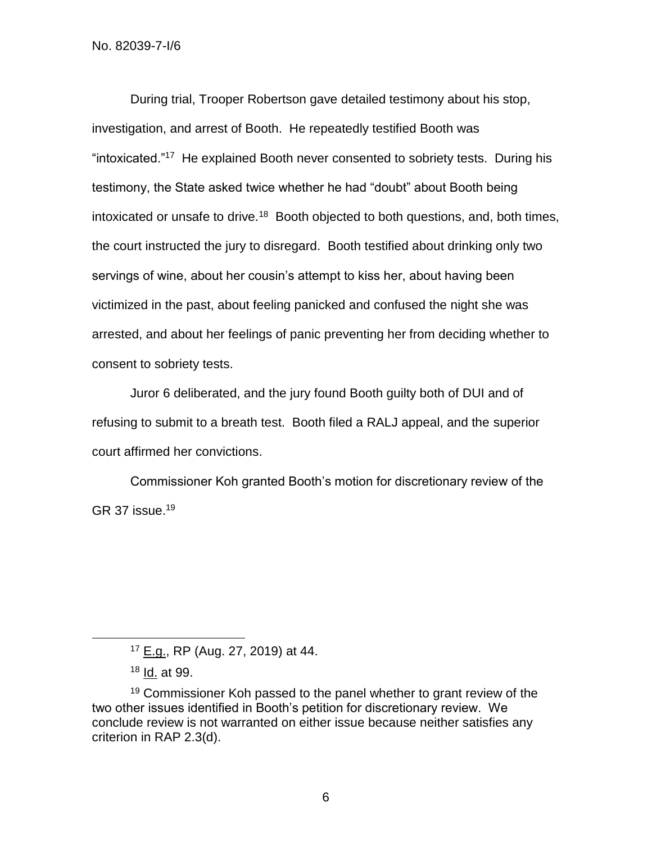During trial, Trooper Robertson gave detailed testimony about his stop, investigation, and arrest of Booth. He repeatedly testified Booth was "intoxicated."<sup>17</sup> He explained Booth never consented to sobriety tests. During his testimony, the State asked twice whether he had "doubt" about Booth being intoxicated or unsafe to drive.<sup>18</sup> Booth objected to both questions, and, both times, the court instructed the jury to disregard. Booth testified about drinking only two servings of wine, about her cousin's attempt to kiss her, about having been victimized in the past, about feeling panicked and confused the night she was arrested, and about her feelings of panic preventing her from deciding whether to consent to sobriety tests.

Juror 6 deliberated, and the jury found Booth guilty both of DUI and of refusing to submit to a breath test. Booth filed a RALJ appeal, and the superior court affirmed her convictions.

Commissioner Koh granted Booth's motion for discretionary review of the GR 37 issue.<sup>19</sup>

<sup>17</sup> E.g., RP (Aug. 27, 2019) at 44.

<sup>18</sup> Id. at 99.

<sup>&</sup>lt;sup>19</sup> Commissioner Koh passed to the panel whether to grant review of the two other issues identified in Booth's petition for discretionary review. We conclude review is not warranted on either issue because neither satisfies any criterion in RAP 2.3(d).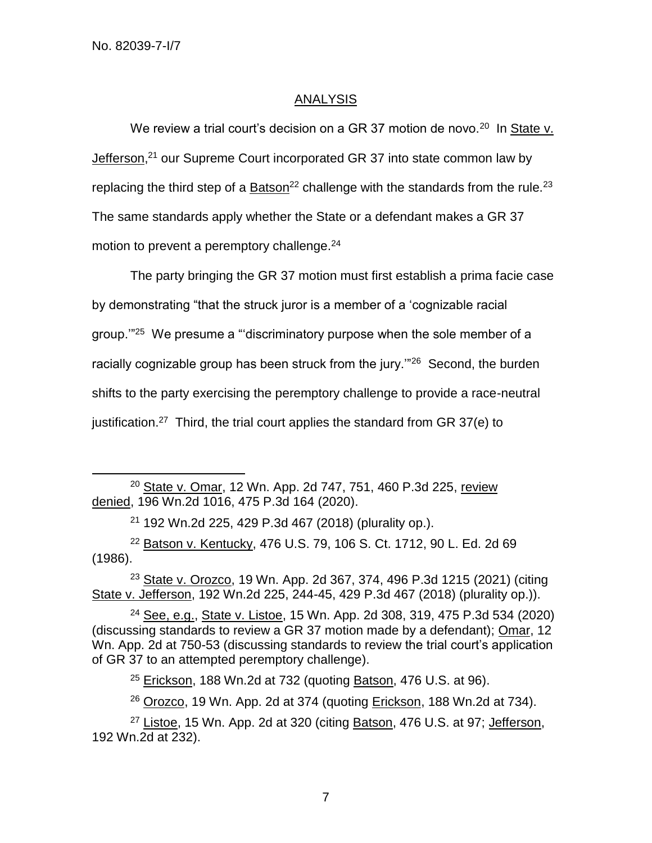l

## ANALYSIS

We review a trial court's decision on a GR 37 motion de novo.<sup>20</sup> In State v. Jefferson,<sup>21</sup> our Supreme Court incorporated GR 37 into state common law by replacing the third step of a  $Batson<sup>22</sup>$  challenge with the standards from the rule.<sup>23</sup> The same standards apply whether the State or a defendant makes a GR 37 motion to prevent a peremptory challenge.<sup>24</sup>

The party bringing the GR 37 motion must first establish a prima facie case by demonstrating "that the struck juror is a member of a 'cognizable racial group."<sup>25</sup> We presume a "'discriminatory purpose when the sole member of a racially cognizable group has been struck from the jury."<sup>26</sup> Second, the burden shifts to the party exercising the peremptory challenge to provide a race-neutral justification.<sup>27</sup> Third, the trial court applies the standard from GR 37(e) to

<sup>20</sup> State v. Omar, 12 Wn. App. 2d 747, 751, 460 P.3d 225, review denied, 196 Wn.2d 1016, 475 P.3d 164 (2020).

<sup>21</sup> 192 Wn.2d 225, 429 P.3d 467 (2018) (plurality op.).

<sup>22</sup> Batson v. Kentucky, 476 U.S. 79, 106 S. Ct. 1712, 90 L. Ed. 2d 69 (1986).

<sup>23</sup> State v. Orozco, 19 Wn. App. 2d 367, 374, 496 P.3d 1215 (2021) (citing State v. Jefferson, 192 Wn.2d 225, 244-45, 429 P.3d 467 (2018) (plurality op.)).

<sup>24</sup> See, e.g., State v. Listoe, 15 Wn. App. 2d 308, 319, 475 P.3d 534 (2020) (discussing standards to review a GR 37 motion made by a defendant); Omar, 12 Wn. App. 2d at 750-53 (discussing standards to review the trial court's application of GR 37 to an attempted peremptory challenge).

 $25$  Erickson, 188 Wn.2d at 732 (quoting Batson, 476 U.S. at 96).

<sup>26</sup> Orozco, 19 Wn. App. 2d at 374 (quoting *Erickson*, 188 Wn.2d at 734).

 $27$  Listoe, 15 Wn. App. 2d at 320 (citing Batson, 476 U.S. at 97; Jefferson, 192 Wn.2d at 232).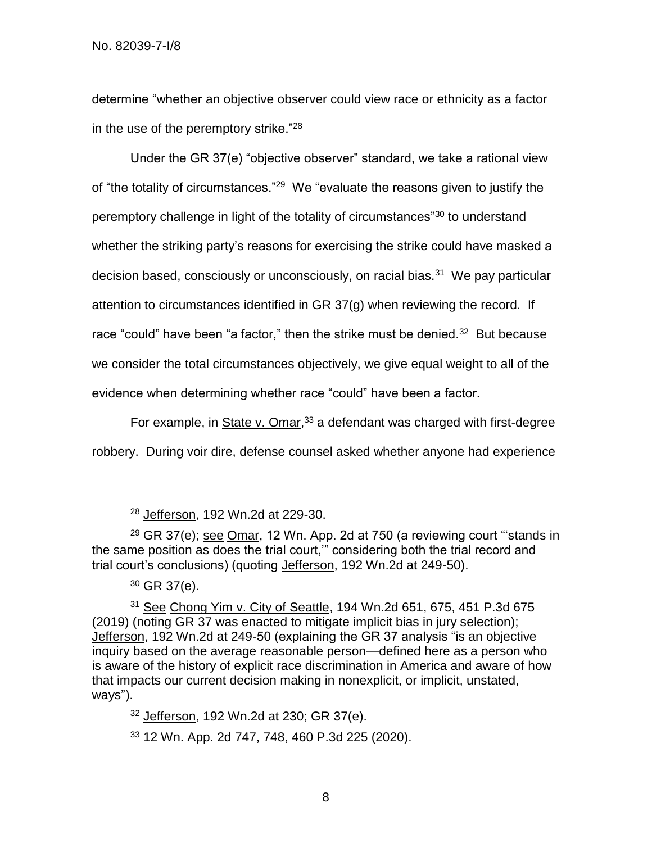determine "whether an objective observer could view race or ethnicity as a factor in the use of the peremptory strike."<sup>28</sup>

Under the GR 37(e) "objective observer" standard, we take a rational view of "the totality of circumstances."<sup>29</sup> We "evaluate the reasons given to justify the peremptory challenge in light of the totality of circumstances"<sup>30</sup> to understand whether the striking party's reasons for exercising the strike could have masked a decision based, consciously or unconsciously, on racial bias.<sup>31</sup> We pay particular attention to circumstances identified in GR 37(g) when reviewing the record. If race "could" have been "a factor," then the strike must be denied. $32$  But because we consider the total circumstances objectively, we give equal weight to all of the evidence when determining whether race "could" have been a factor.

For example, in State v. Omar,<sup>33</sup> a defendant was charged with first-degree robbery. During voir dire, defense counsel asked whether anyone had experience

 $29$  GR 37(e); see Omar, 12 Wn. App. 2d at 750 (a reviewing court "stands in the same position as does the trial court,'" considering both the trial record and trial court's conclusions) (quoting Jefferson, 192 Wn.2d at 249-50).

l

31 See Chong Yim v. City of Seattle, 194 Wn.2d 651, 675, 451 P.3d 675 (2019) (noting GR 37 was enacted to mitigate implicit bias in jury selection); Jefferson, 192 Wn.2d at 249-50 (explaining the GR 37 analysis "is an objective inquiry based on the average reasonable person—defined here as a person who is aware of the history of explicit race discrimination in America and aware of how that impacts our current decision making in nonexplicit, or implicit, unstated, ways").

 $32$  Jefferson, 192 Wn.2d at 230; GR 37(e).

<sup>33</sup> 12 Wn. App. 2d 747, 748, 460 P.3d 225 (2020).

<sup>28</sup> Jefferson, 192 Wn.2d at 229-30.

 $30$  GR 37(e).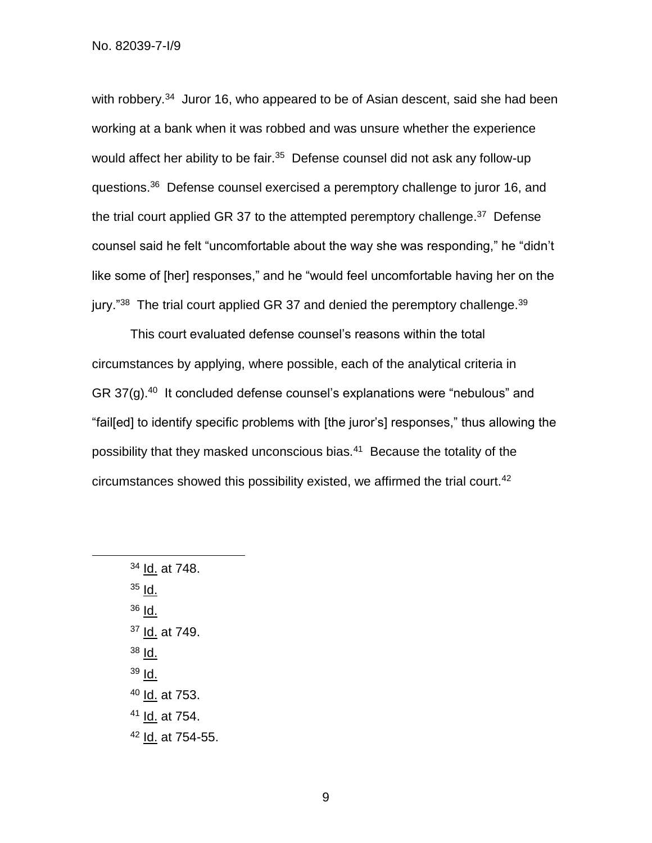with robbery.<sup>34</sup> Juror 16, who appeared to be of Asian descent, said she had been working at a bank when it was robbed and was unsure whether the experience would affect her ability to be fair.<sup>35</sup> Defense counsel did not ask any follow-up questions.<sup>36</sup> Defense counsel exercised a peremptory challenge to juror 16, and the trial court applied GR 37 to the attempted peremptory challenge.<sup>37</sup> Defense counsel said he felt "uncomfortable about the way she was responding," he "didn't like some of [her] responses," and he "would feel uncomfortable having her on the jury."<sup>38</sup> The trial court applied GR 37 and denied the peremptory challenge.<sup>39</sup>

This court evaluated defense counsel's reasons within the total circumstances by applying, where possible, each of the analytical criteria in GR 37(g).<sup>40</sup> It concluded defense counsel's explanations were "nebulous" and "fail[ed] to identify specific problems with [the juror's] responses," thus allowing the possibility that they masked unconscious bias.<sup>41</sup> Because the totality of the circumstances showed this possibility existed, we affirmed the trial court.<sup>42</sup>

<sup>34</sup> Id. at 748.  $35$  Id.  $36$  Id. <sup>37</sup> Id. at 749. <sup>38</sup> Id.  $39$  Id. <sup>40</sup> Id. at 753. <sup>41</sup> Id. at 754. <sup>42</sup> Id. at 754-55.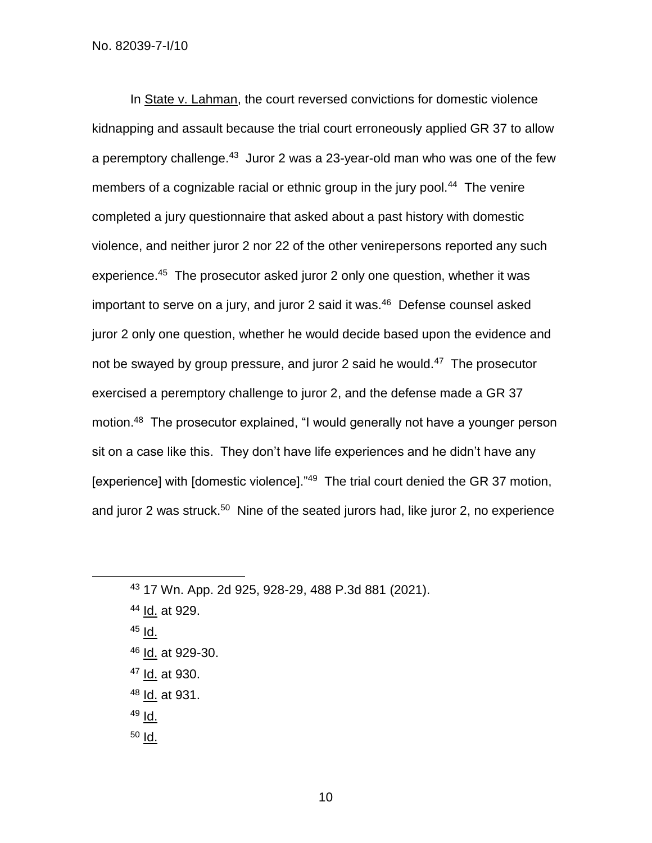In State v. Lahman, the court reversed convictions for domestic violence kidnapping and assault because the trial court erroneously applied GR 37 to allow a peremptory challenge.<sup>43</sup> Juror 2 was a 23-year-old man who was one of the few members of a cognizable racial or ethnic group in the jury pool.<sup>44</sup> The venire completed a jury questionnaire that asked about a past history with domestic violence, and neither juror 2 nor 22 of the other venirepersons reported any such experience.<sup>45</sup> The prosecutor asked juror 2 only one question, whether it was important to serve on a jury, and juror 2 said it was.<sup>46</sup> Defense counsel asked juror 2 only one question, whether he would decide based upon the evidence and not be swayed by group pressure, and juror 2 said he would.<sup>47</sup> The prosecutor exercised a peremptory challenge to juror 2, and the defense made a GR 37 motion.<sup>48</sup> The prosecutor explained, "I would generally not have a younger person sit on a case like this. They don't have life experiences and he didn't have any [experience] with [domestic violence]."<sup>49</sup> The trial court denied the GR 37 motion, and juror 2 was struck.<sup>50</sup> Nine of the seated jurors had, like juror 2, no experience

 $45$  Id.

- <sup>46</sup> Id. at 929-30.
- <sup>47</sup> Id. at 930.
- <sup>48</sup> Id. at 931.
- $49$  Id.
- $50$   $\overline{\text{Id}}$ .

<sup>43</sup> 17 Wn. App. 2d 925, 928-29, 488 P.3d 881 (2021).

<sup>44</sup> Id. at 929.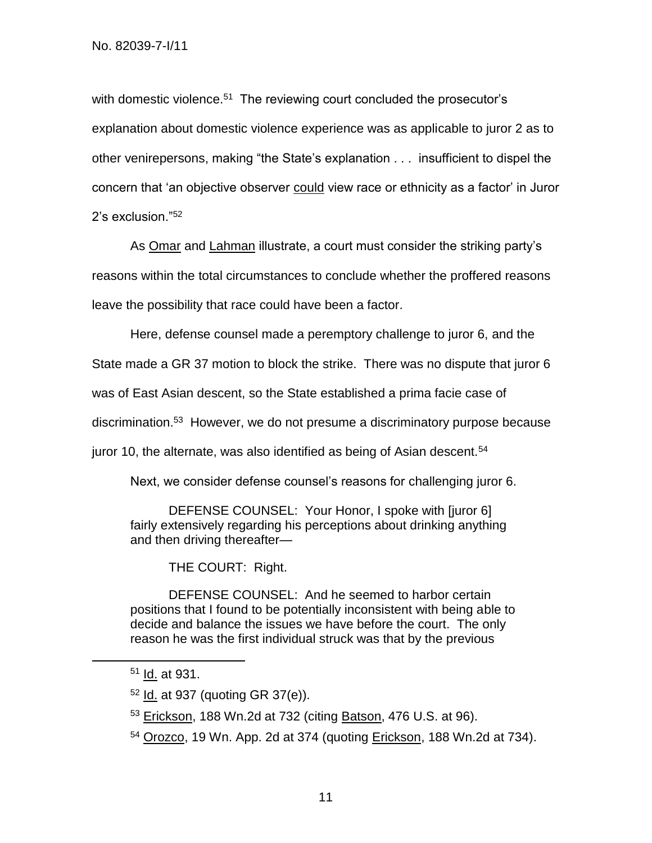with domestic violence.<sup>51</sup> The reviewing court concluded the prosecutor's explanation about domestic violence experience was as applicable to juror 2 as to other venirepersons, making "the State's explanation . . . insufficient to dispel the concern that 'an objective observer could view race or ethnicity as a factor' in Juror 2's exclusion."<sup>52</sup>

As Omar and Lahman illustrate, a court must consider the striking party's reasons within the total circumstances to conclude whether the proffered reasons leave the possibility that race could have been a factor.

Here, defense counsel made a peremptory challenge to juror 6, and the

State made a GR 37 motion to block the strike. There was no dispute that juror 6

was of East Asian descent, so the State established a prima facie case of

discrimination.<sup>53</sup> However, we do not presume a discriminatory purpose because

juror 10, the alternate, was also identified as being of Asian descent.<sup>54</sup>

Next, we consider defense counsel's reasons for challenging juror 6.

DEFENSE COUNSEL: Your Honor, I spoke with [juror 6] fairly extensively regarding his perceptions about drinking anything and then driving thereafter—

THE COURT: Right.

DEFENSE COUNSEL: And he seemed to harbor certain positions that I found to be potentially inconsistent with being able to decide and balance the issues we have before the court. The only reason he was the first individual struck was that by the previous

l

<sup>54</sup> Orozco, 19 Wn. App. 2d at 374 (quoting Erickson, 188 Wn.2d at 734).

<sup>51</sup> Id. at 931.

 $52$  Id. at 937 (quoting GR 37(e)).

<sup>53</sup> Erickson, 188 Wn.2d at 732 (citing **Batson, 476 U.S. at 96).**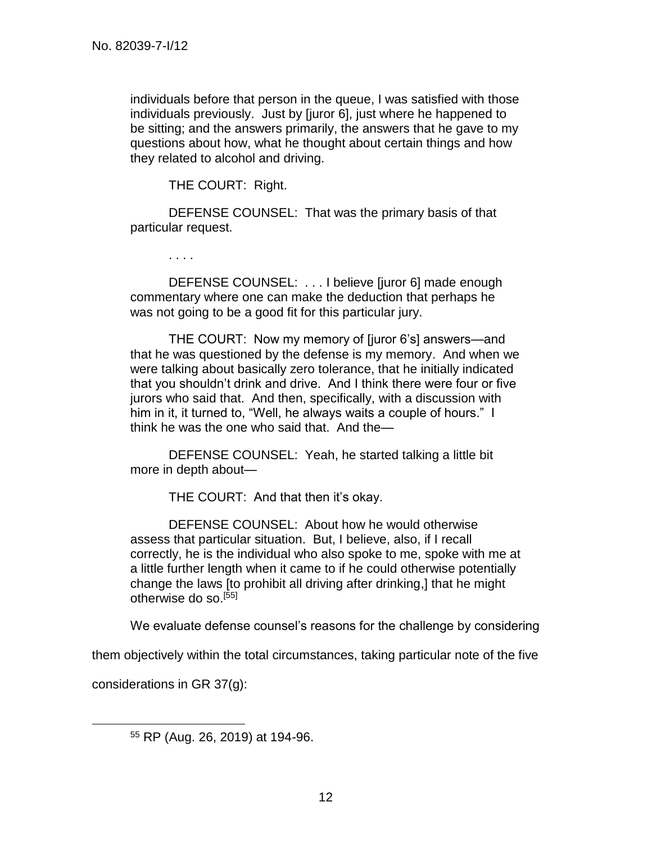individuals before that person in the queue, I was satisfied with those individuals previously. Just by [juror 6], just where he happened to be sitting; and the answers primarily, the answers that he gave to my questions about how, what he thought about certain things and how they related to alcohol and driving.

THE COURT: Right.

DEFENSE COUNSEL: That was the primary basis of that particular request.

. . . .

DEFENSE COUNSEL: . . . I believe [juror 6] made enough commentary where one can make the deduction that perhaps he was not going to be a good fit for this particular jury.

THE COURT: Now my memory of [juror 6's] answers—and that he was questioned by the defense is my memory. And when we were talking about basically zero tolerance, that he initially indicated that you shouldn't drink and drive. And I think there were four or five jurors who said that. And then, specifically, with a discussion with him in it, it turned to, "Well, he always waits a couple of hours." I think he was the one who said that. And the—

DEFENSE COUNSEL: Yeah, he started talking a little bit more in depth about—

THE COURT: And that then it's okay.

DEFENSE COUNSEL: About how he would otherwise assess that particular situation. But, I believe, also, if I recall correctly, he is the individual who also spoke to me, spoke with me at a little further length when it came to if he could otherwise potentially change the laws [to prohibit all driving after drinking,] that he might otherwise do so.[55]

We evaluate defense counsel's reasons for the challenge by considering

them objectively within the total circumstances, taking particular note of the five

considerations in GR 37(g):

<sup>55</sup> RP (Aug. 26, 2019) at 194-96.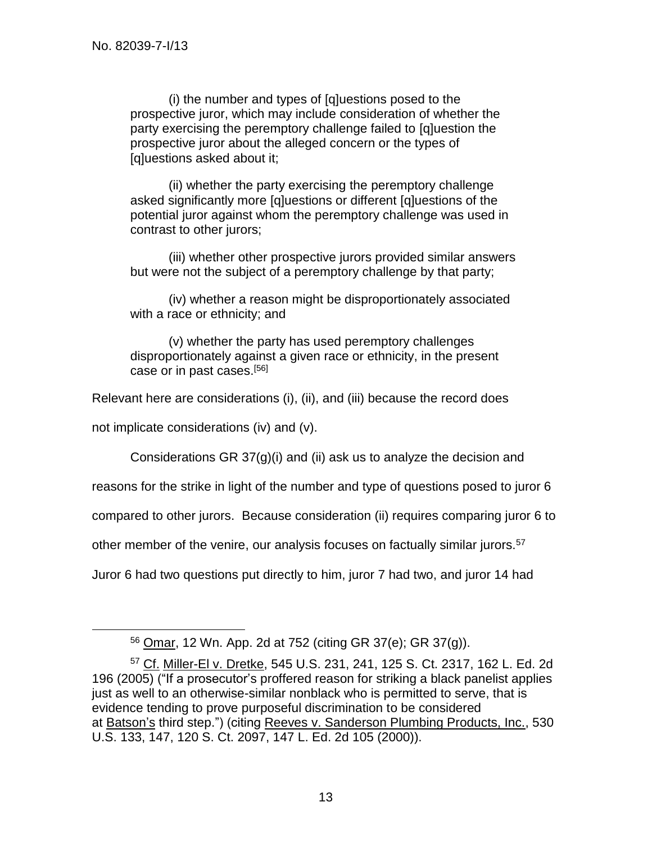(i) the number and types of [q]uestions posed to the prospective juror, which may include consideration of whether the party exercising the peremptory challenge failed to [q]uestion the prospective juror about the alleged concern or the types of [q]uestions asked about it;

(ii) whether the party exercising the peremptory challenge asked significantly more [q]uestions or different [q]uestions of the potential juror against whom the peremptory challenge was used in contrast to other jurors;

(iii) whether other prospective jurors provided similar answers but were not the subject of a peremptory challenge by that party;

(iv) whether a reason might be disproportionately associated with a race or ethnicity; and

(v) whether the party has used peremptory challenges disproportionately against a given race or ethnicity, in the present case or in past cases.[56]

Relevant here are considerations (i), (ii), and (iii) because the record does

not implicate considerations (iv) and (v).

l

Considerations GR 37(g)(i) and (ii) ask us to analyze the decision and

reasons for the strike in light of the number and type of questions posed to juror 6

compared to other jurors. Because consideration (ii) requires comparing juror 6 to

other member of the venire, our analysis focuses on factually similar jurors.<sup>57</sup>

Juror 6 had two questions put directly to him, juror 7 had two, and juror 14 had

<sup>56</sup> Omar, 12 Wn. App. 2d at 752 (citing GR 37(e); GR 37(g)).

<sup>57</sup> Cf. Miller-El v. Dretke, 545 U.S. 231, 241, 125 S. Ct. 2317, 162 L. Ed. 2d 196 (2005) ("If a prosecutor's proffered reason for striking a black panelist applies just as well to an otherwise-similar nonblack who is permitted to serve, that is evidence tending to prove purposeful discrimination to be considered at Batson's third step.") (citing Reeves v. Sanderson Plumbing Products, Inc., 530 U.S. 133, 147, 120 S. Ct. 2097, 147 L. Ed. 2d 105 (2000)).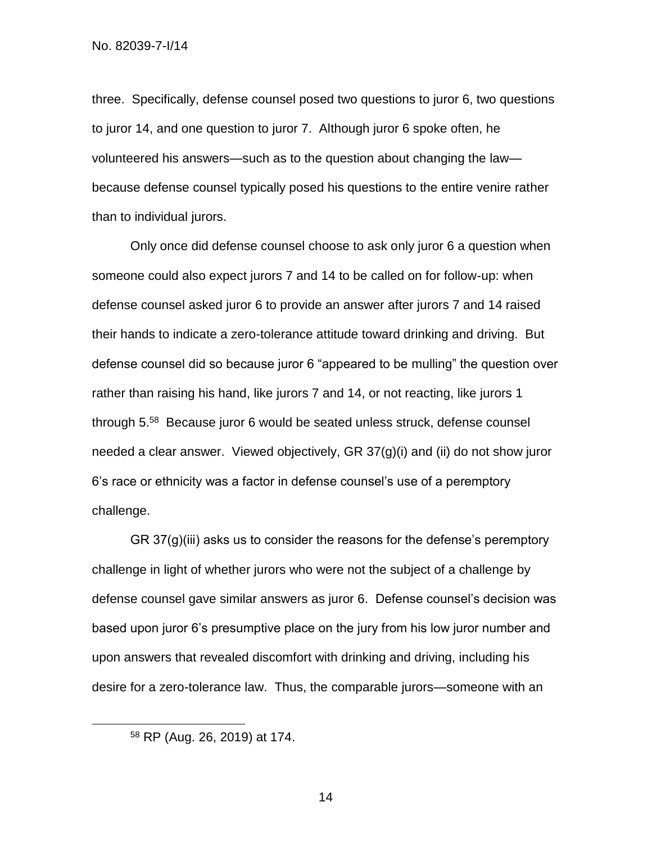three. Specifically, defense counsel posed two questions to juror 6, two questions to juror 14, and one question to juror 7. Although juror 6 spoke often, he volunteered his answers—such as to the question about changing the law because defense counsel typically posed his questions to the entire venire rather than to individual jurors.

Only once did defense counsel choose to ask only juror 6 a question when someone could also expect jurors 7 and 14 to be called on for follow-up: when defense counsel asked juror 6 to provide an answer after jurors 7 and 14 raised their hands to indicate a zero-tolerance attitude toward drinking and driving. But defense counsel did so because juror 6 "appeared to be mulling" the question over rather than raising his hand, like jurors 7 and 14, or not reacting, like jurors 1 through 5.<sup>58</sup> Because juror 6 would be seated unless struck, defense counsel needed a clear answer. Viewed objectively, GR 37(g)(i) and (ii) do not show juror 6's race or ethnicity was a factor in defense counsel's use of a peremptory challenge.

GR 37(g)(iii) asks us to consider the reasons for the defense's peremptory challenge in light of whether jurors who were not the subject of a challenge by defense counsel gave similar answers as juror 6. Defense counsel's decision was based upon juror 6's presumptive place on the jury from his low juror number and upon answers that revealed discomfort with drinking and driving, including his desire for a zero-tolerance law. Thus, the comparable jurors—someone with an

<sup>58</sup> RP (Aug. 26, 2019) at 174.

l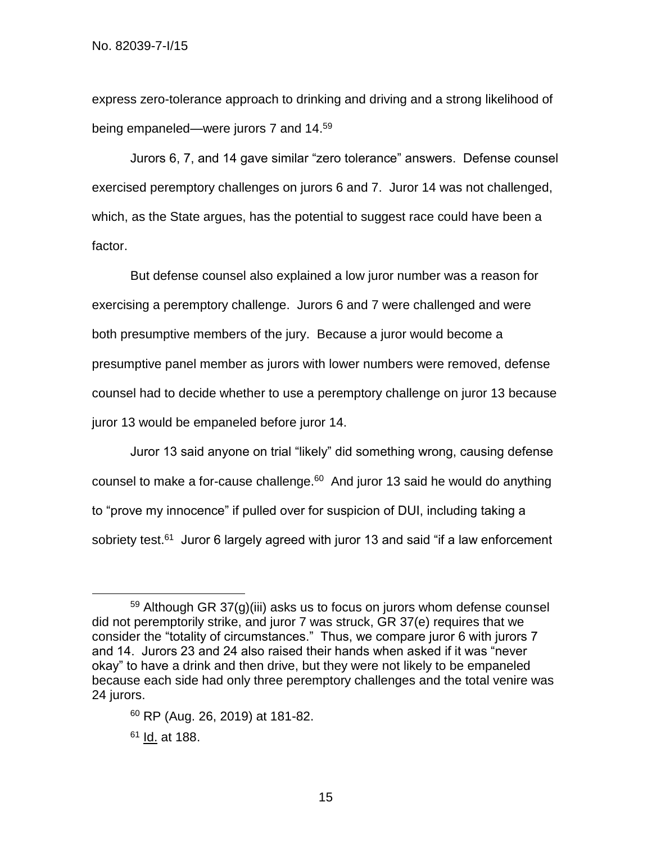express zero-tolerance approach to drinking and driving and a strong likelihood of being empaneled—were jurors 7 and 14.<sup>59</sup>

Jurors 6, 7, and 14 gave similar "zero tolerance" answers. Defense counsel exercised peremptory challenges on jurors 6 and 7. Juror 14 was not challenged, which, as the State argues, has the potential to suggest race could have been a factor.

But defense counsel also explained a low juror number was a reason for exercising a peremptory challenge. Jurors 6 and 7 were challenged and were both presumptive members of the jury. Because a juror would become a presumptive panel member as jurors with lower numbers were removed, defense counsel had to decide whether to use a peremptory challenge on juror 13 because juror 13 would be empaneled before juror 14.

Juror 13 said anyone on trial "likely" did something wrong, causing defense counsel to make a for-cause challenge. $60$  And juror 13 said he would do anything to "prove my innocence" if pulled over for suspicion of DUI, including taking a sobriety test.<sup>61</sup> Juror 6 largely agreed with juror 13 and said "if a law enforcement

<sup>60</sup> RP (Aug. 26, 2019) at 181-82.

<sup>61</sup> Id. at 188.

 $59$  Although GR 37(g)(iii) asks us to focus on jurors whom defense counsel did not peremptorily strike, and juror 7 was struck, GR 37(e) requires that we consider the "totality of circumstances." Thus, we compare juror 6 with jurors 7 and 14. Jurors 23 and 24 also raised their hands when asked if it was "never okay" to have a drink and then drive, but they were not likely to be empaneled because each side had only three peremptory challenges and the total venire was 24 jurors.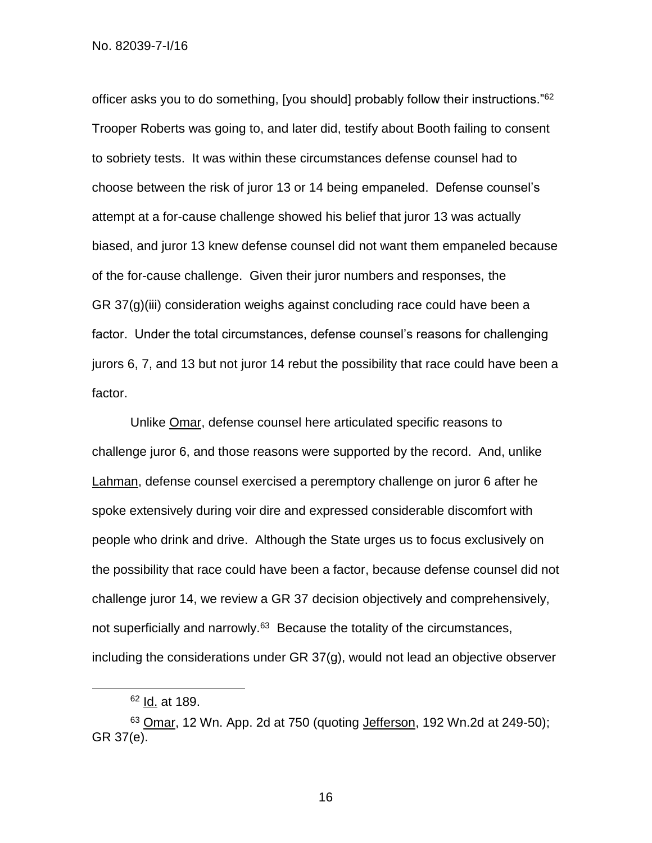officer asks you to do something, [you should] probably follow their instructions."<sup>62</sup> Trooper Roberts was going to, and later did, testify about Booth failing to consent to sobriety tests. It was within these circumstances defense counsel had to choose between the risk of juror 13 or 14 being empaneled. Defense counsel's attempt at a for-cause challenge showed his belief that juror 13 was actually biased, and juror 13 knew defense counsel did not want them empaneled because of the for-cause challenge. Given their juror numbers and responses, the GR 37(g)(iii) consideration weighs against concluding race could have been a factor. Under the total circumstances, defense counsel's reasons for challenging jurors 6, 7, and 13 but not juror 14 rebut the possibility that race could have been a factor.

Unlike Omar, defense counsel here articulated specific reasons to challenge juror 6, and those reasons were supported by the record. And, unlike Lahman, defense counsel exercised a peremptory challenge on juror 6 after he spoke extensively during voir dire and expressed considerable discomfort with people who drink and drive. Although the State urges us to focus exclusively on the possibility that race could have been a factor, because defense counsel did not challenge juror 14, we review a GR 37 decision objectively and comprehensively, not superficially and narrowly.<sup>63</sup> Because the totality of the circumstances, including the considerations under GR 37(g), would not lead an objective observer

l

<sup>62</sup> Id. at 189.

 $63$  Omar, 12 Wn. App. 2d at 750 (quoting Jefferson, 192 Wn. 2d at 249-50); GR 37(e).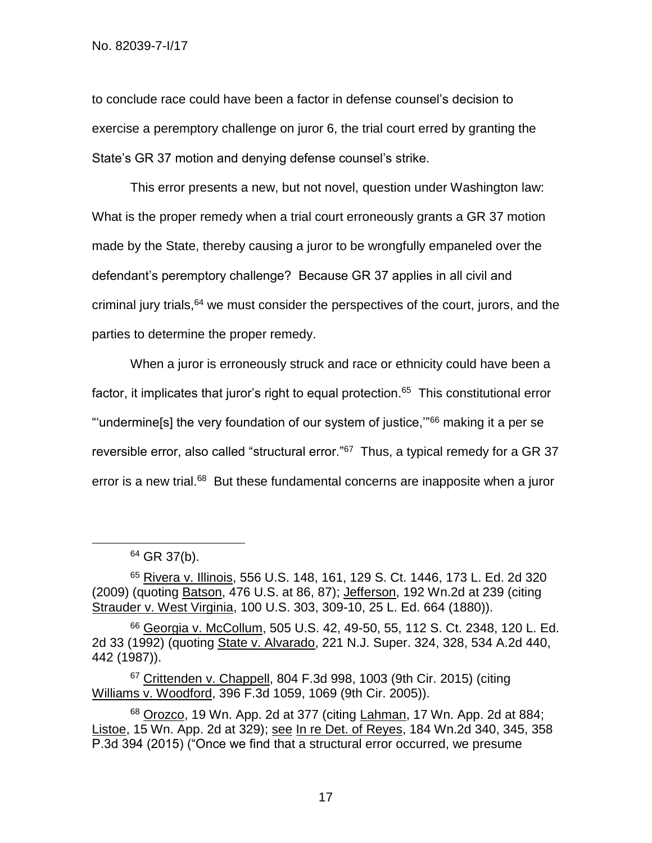to conclude race could have been a factor in defense counsel's decision to exercise a peremptory challenge on juror 6, the trial court erred by granting the State's GR 37 motion and denying defense counsel's strike.

This error presents a new, but not novel, question under Washington law: What is the proper remedy when a trial court erroneously grants a GR 37 motion made by the State, thereby causing a juror to be wrongfully empaneled over the defendant's peremptory challenge? Because GR 37 applies in all civil and criminal jury trials,<sup>64</sup> we must consider the perspectives of the court, jurors, and the parties to determine the proper remedy.

When a juror is erroneously struck and race or ethnicity could have been a factor, it implicates that juror's right to equal protection.<sup>65</sup> This constitutional error "'undermine[s] the very foundation of our system of justice,'"<sup>66</sup> making it a per se reversible error, also called "structural error."<sup>67</sup> Thus, a typical remedy for a GR 37 error is a new trial.<sup>68</sup> But these fundamental concerns are inapposite when a juror

l

 $67$  Crittenden v. Chappell, 804 F.3d 998, 1003 (9th Cir. 2015) (citing Williams v. Woodford, 396 F.3d 1059, 1069 (9th Cir. 2005)).

<sup>64</sup> GR 37(b).

<sup>65</sup> Rivera v. Illinois, 556 U.S. 148, 161, 129 S. Ct. 1446, 173 L. Ed. 2d 320 (2009) (quoting Batson, 476 U.S. at 86, 87); Jefferson, 192 Wn.2d at 239 (citing Strauder v. West Virginia, 100 U.S. 303, 309-10, 25 L. Ed. 664 (1880)).

<sup>66</sup> Georgia v. McCollum, 505 U.S. 42, 49-50, 55, 112 S. Ct. 2348, 120 L. Ed. 2d 33 (1992) (quoting State v. Alvarado, 221 N.J. Super. 324, 328, 534 A.2d 440, 442 (1987)).

<sup>68</sup> Orozco, 19 Wn. App. 2d at 377 (citing Lahman, 17 Wn. App. 2d at 884; Listoe, 15 Wn. App. 2d at 329); see In re Det. of Reyes, 184 Wn.2d 340, 345, 358 P.3d 394 (2015) ("Once we find that a structural error occurred, we presume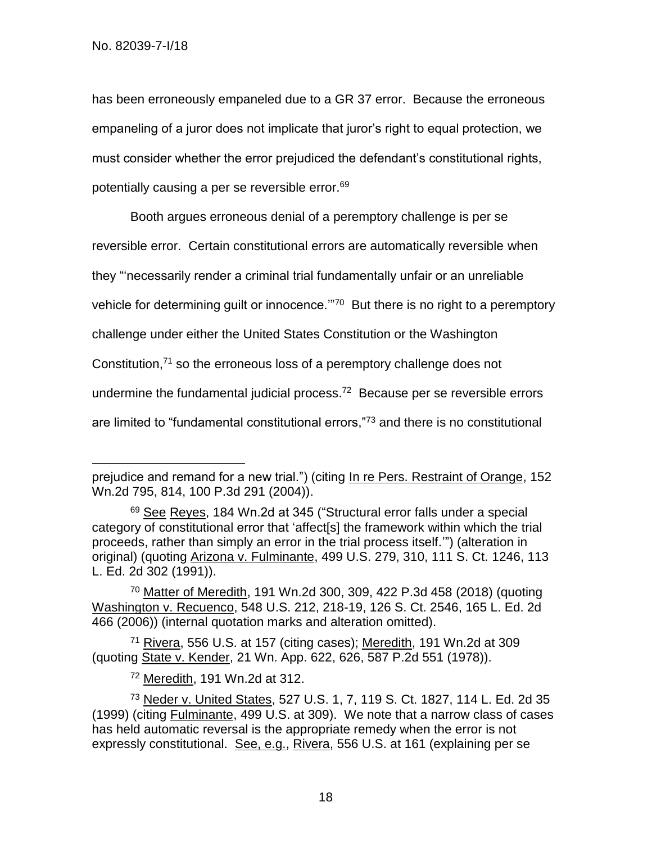l

has been erroneously empaneled due to a GR 37 error. Because the erroneous empaneling of a juror does not implicate that juror's right to equal protection, we must consider whether the error prejudiced the defendant's constitutional rights, potentially causing a per se reversible error.<sup>69</sup>

Booth argues erroneous denial of a peremptory challenge is per se reversible error. Certain constitutional errors are automatically reversible when they "'necessarily render a criminal trial fundamentally unfair or an unreliable vehicle for determining guilt or innocence."<sup>70</sup> But there is no right to a peremptory challenge under either the United States Constitution or the Washington Constitution,<sup>71</sup> so the erroneous loss of a peremptory challenge does not undermine the fundamental judicial process.<sup>72</sup> Because per se reversible errors

are limited to "fundamental constitutional errors,"<sup>73</sup> and there is no constitutional

<sup>70</sup> Matter of Meredith, 191 Wn.2d 300, 309, 422 P.3d 458 (2018) (quoting Washington v. Recuenco, 548 U.S. 212, 218-19, 126 S. Ct. 2546, 165 L. Ed. 2d 466 (2006)) (internal quotation marks and alteration omitted).

<sup>71</sup> Rivera, 556 U.S. at 157 (citing cases); Meredith, 191 Wn.2d at 309 (quoting State v. Kender, 21 Wn. App. 622, 626, 587 P.2d 551 (1978)).

<sup>72</sup> Meredith, 191 Wn.2d at 312.

prejudice and remand for a new trial.") (citing In re Pers. Restraint of Orange, 152 Wn.2d 795, 814, 100 P.3d 291 (2004)).

<sup>69</sup> See Reyes, 184 Wn.2d at 345 ("Structural error falls under a special category of constitutional error that 'affect[s] the framework within which the trial proceeds, rather than simply an error in the trial process itself.'") (alteration in original) (quoting Arizona v. Fulminante, 499 U.S. 279, 310, 111 S. Ct. 1246, 113 L. Ed. 2d 302 (1991)).

<sup>73</sup> Neder v. United States, 527 U.S. 1, 7, 119 S. Ct. 1827, 114 L. Ed. 2d 35 (1999) (citing Fulminante, 499 U.S. at 309). We note that a narrow class of cases has held automatic reversal is the appropriate remedy when the error is not expressly constitutional. See, e.g., Rivera, 556 U.S. at 161 (explaining per se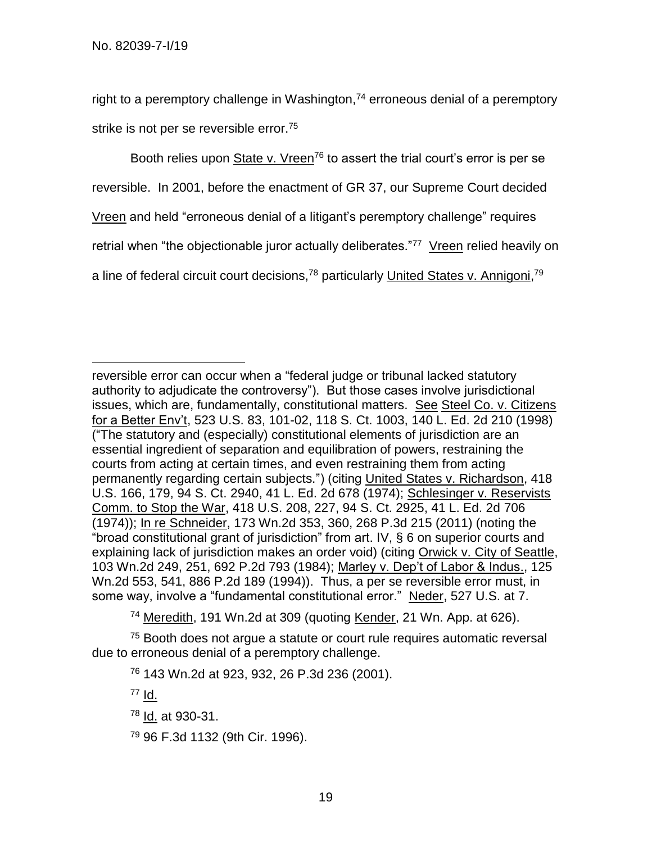right to a peremptory challenge in Washington, $74$  erroneous denial of a peremptory strike is not per se reversible error.<sup>75</sup>

Booth relies upon State v. Vreen<sup>76</sup> to assert the trial court's error is per se reversible. In 2001, before the enactment of GR 37, our Supreme Court decided Vreen and held "erroneous denial of a litigant's peremptory challenge" requires retrial when "the objectionable juror actually deliberates."<sup>77</sup> Vreen relied heavily on a line of federal circuit court decisions,<sup>78</sup> particularly United States v. Annigoni,<sup>79</sup>

<sup>74</sup> Meredith, 191 Wn.2d at 309 (quoting Kender, 21 Wn. App. at 626).

<sup>75</sup> Booth does not arque a statute or court rule requires automatic reversal due to erroneous denial of a peremptory challenge.

<sup>76</sup> 143 Wn.2d at 923, 932, 26 P.3d 236 (2001).

 $77$  Id.

<sup>78</sup> Id. at 930-31.

<sup>79</sup> 96 F.3d 1132 (9th Cir. 1996).

 $\overline{a}$ reversible error can occur when a "federal judge or tribunal lacked statutory authority to adjudicate the controversy"). But those cases involve jurisdictional issues, which are, fundamentally, constitutional matters. See Steel Co. v. Citizens for a Better Env't, 523 U.S. 83, 101-02, 118 S. Ct. 1003, 140 L. Ed. 2d 210 (1998) ("The statutory and (especially) constitutional elements of jurisdiction are an essential ingredient of separation and equilibration of powers, restraining the courts from acting at certain times, and even restraining them from acting permanently regarding certain subjects.") (citing United States v. Richardson, 418 U.S. 166, 179, 94 S. Ct. 2940, 41 L. Ed. 2d 678 (1974); Schlesinger v. Reservists Comm. to Stop the War, 418 U.S. 208, 227, 94 S. Ct. 2925, 41 L. Ed. 2d 706 (1974)); In re Schneider, 173 Wn.2d 353, 360, 268 P.3d 215 (2011) (noting the "broad constitutional grant of jurisdiction" from art. IV, § 6 on superior courts and explaining lack of jurisdiction makes an order void) (citing Orwick v. City of Seattle, 103 Wn.2d 249, 251, 692 P.2d 793 (1984); Marley v. Dep't of Labor & Indus., 125 Wn.2d 553, 541, 886 P.2d 189 (1994)). Thus, a per se reversible error must, in some way, involve a "fundamental constitutional error." Neder, 527 U.S. at 7.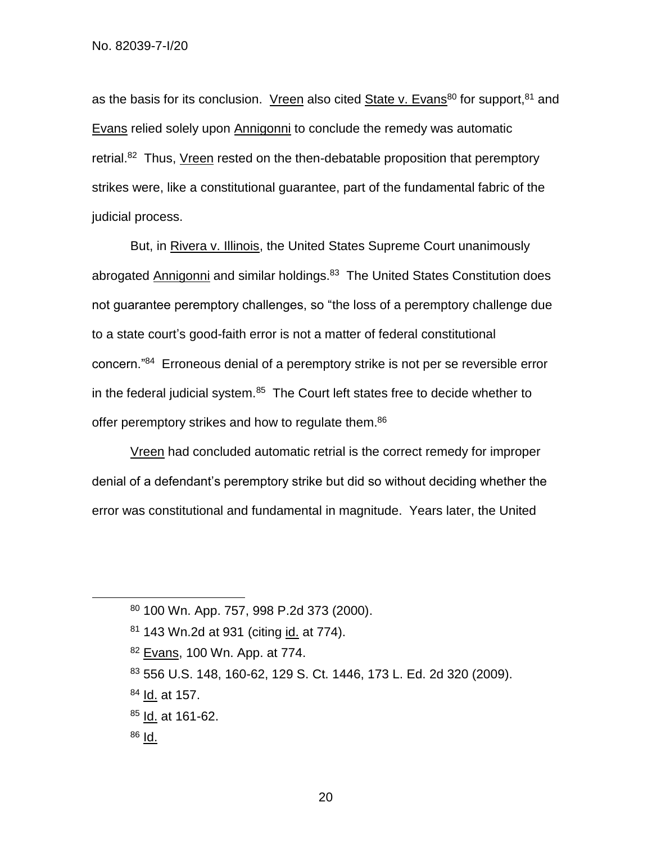as the basis for its conclusion. Vreen also cited State v. Evans<sup>80</sup> for support,  $81$  and Evans relied solely upon Annigonni to conclude the remedy was automatic retrial.<sup>82</sup> Thus, Vreen rested on the then-debatable proposition that peremptory strikes were, like a constitutional guarantee, part of the fundamental fabric of the judicial process.

But, in Rivera v. Illinois, the United States Supreme Court unanimously abrogated Annigonni and similar holdings.<sup>83</sup> The United States Constitution does not guarantee peremptory challenges, so "the loss of a peremptory challenge due to a state court's good-faith error is not a matter of federal constitutional concern."<sup>84</sup> Erroneous denial of a peremptory strike is not per se reversible error in the federal judicial system.<sup>85</sup> The Court left states free to decide whether to offer peremptory strikes and how to regulate them.<sup>86</sup>

Vreen had concluded automatic retrial is the correct remedy for improper denial of a defendant's peremptory strike but did so without deciding whether the error was constitutional and fundamental in magnitude. Years later, the United

- <sup>84</sup> Id. at 157.
- $85$  Id. at 161-62.
- $86$  Id.

<sup>80</sup> 100 Wn. App. 757, 998 P.2d 373 (2000).

<sup>81 143</sup> Wn.2d at 931 (citing id. at 774).

<sup>82</sup> Evans, 100 Wn. App. at 774.

<sup>83</sup> 556 U.S. 148, 160-62, 129 S. Ct. 1446, 173 L. Ed. 2d 320 (2009).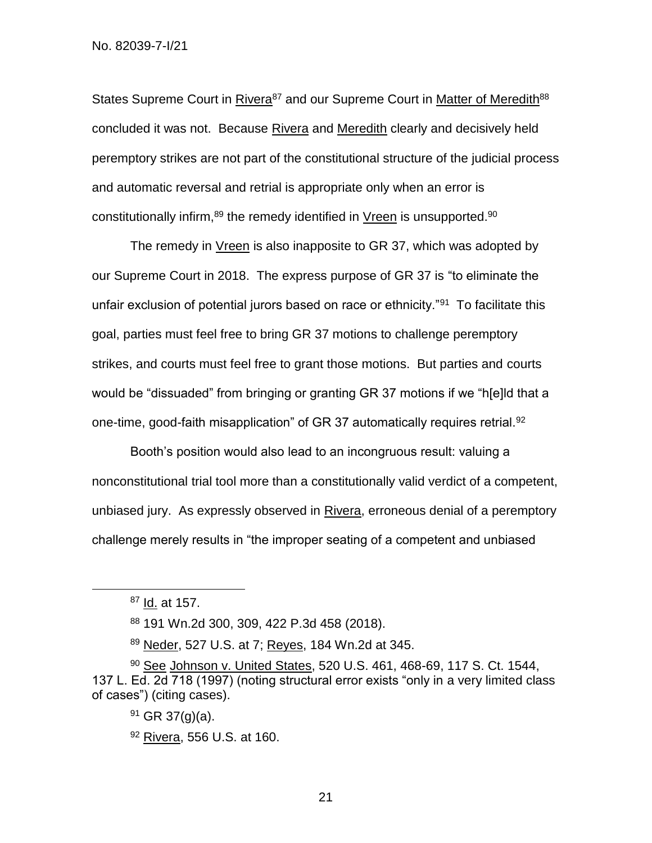States Supreme Court in Rivera<sup>87</sup> and our Supreme Court in Matter of Meredith<sup>88</sup> concluded it was not. Because Rivera and Meredith clearly and decisively held peremptory strikes are not part of the constitutional structure of the judicial process and automatic reversal and retrial is appropriate only when an error is constitutionally infirm, <sup>89</sup> the remedy identified in Vreen is unsupported. <sup>90</sup>

The remedy in Vreen is also inapposite to GR 37, which was adopted by our Supreme Court in 2018. The express purpose of GR 37 is "to eliminate the unfair exclusion of potential jurors based on race or ethnicity."<sup>91</sup> To facilitate this goal, parties must feel free to bring GR 37 motions to challenge peremptory strikes, and courts must feel free to grant those motions. But parties and courts would be "dissuaded" from bringing or granting GR 37 motions if we "h[e]ld that a one-time, good-faith misapplication" of GR 37 automatically requires retrial.<sup>92</sup>

Booth's position would also lead to an incongruous result: valuing a nonconstitutional trial tool more than a constitutionally valid verdict of a competent, unbiased jury. As expressly observed in Rivera, erroneous denial of a peremptory challenge merely results in "the improper seating of a competent and unbiased

l

<sup>89</sup> Neder, 527 U.S. at 7; Reyes, 184 Wn.2d at 345.

 $87$  Id. at 157.

<sup>88</sup> 191 Wn.2d 300, 309, 422 P.3d 458 (2018).

<sup>90</sup> See Johnson v. United States, 520 U.S. 461, 468-69, 117 S. Ct. 1544, 137 L. Ed. 2d 718 (1997) (noting structural error exists "only in a very limited class of cases") (citing cases).

 $91$  GR 37(g)(a).

<sup>92</sup> Rivera, 556 U.S. at 160.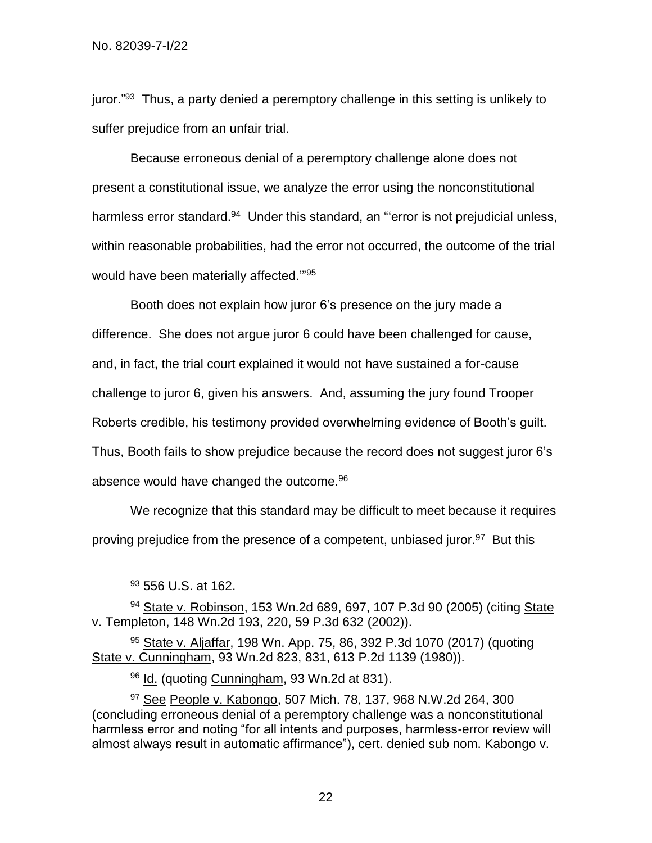juror."<sup>93</sup> Thus, a party denied a peremptory challenge in this setting is unlikely to suffer prejudice from an unfair trial.

Because erroneous denial of a peremptory challenge alone does not present a constitutional issue, we analyze the error using the nonconstitutional harmless error standard.<sup>94</sup> Under this standard, an "'error is not prejudicial unless, within reasonable probabilities, had the error not occurred, the outcome of the trial would have been materially affected.""<sup>95</sup>

Booth does not explain how juror 6's presence on the jury made a difference. She does not argue juror 6 could have been challenged for cause, and, in fact, the trial court explained it would not have sustained a for-cause challenge to juror 6, given his answers. And, assuming the jury found Trooper Roberts credible, his testimony provided overwhelming evidence of Booth's guilt. Thus, Booth fails to show prejudice because the record does not suggest juror 6's absence would have changed the outcome.<sup>96</sup>

We recognize that this standard may be difficult to meet because it requires proving prejudice from the presence of a competent, unbiased juror.<sup>97</sup> But this

l

94 State v. Robinson, 153 Wn.2d 689, 697, 107 P.3d 90 (2005) (citing State v. Templeton, 148 Wn.2d 193, 220, 59 P.3d 632 (2002)).

 $95$  State v. Aljaffar, 198 Wn. App. 75, 86, 392 P.3d 1070 (2017) (quoting State v. Cunningham, 93 Wn.2d 823, 831, 613 P.2d 1139 (1980)).

96 Id. (quoting Cunningham, 93 Wn.2d at 831).

<sup>97</sup> See People v. Kabongo, 507 Mich. 78, 137, 968 N.W.2d 264, 300 (concluding erroneous denial of a peremptory challenge was a nonconstitutional harmless error and noting "for all intents and purposes, harmless-error review will almost always result in automatic affirmance"), cert. denied sub nom. Kabongo v.

<sup>93 556</sup> U.S. at 162.